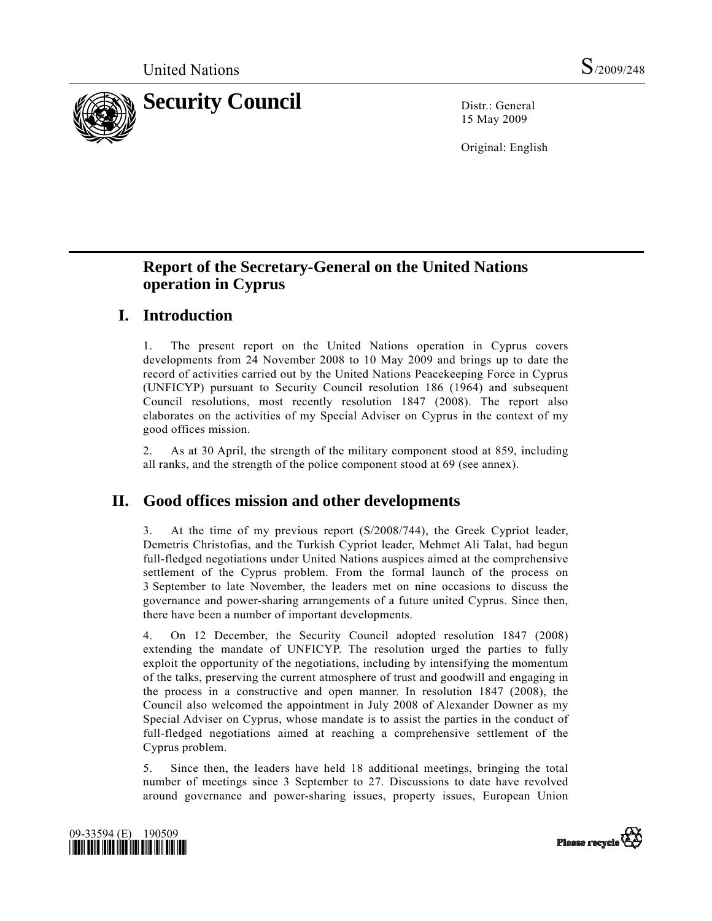

15 May 2009

Original: English

# **Report of the Secretary-General on the United Nations operation in Cyprus**

## **I. Introduction**

1. The present report on the United Nations operation in Cyprus covers developments from 24 November 2008 to 10 May 2009 and brings up to date the record of activities carried out by the United Nations Peacekeeping Force in Cyprus (UNFICYP) pursuant to Security Council resolution 186 (1964) and subsequent Council resolutions, most recently resolution 1847 (2008). The report also elaborates on the activities of my Special Adviser on Cyprus in the context of my good offices mission.

2. As at 30 April, the strength of the military component stood at 859, including all ranks, and the strength of the police component stood at 69 (see annex).

## **II. Good offices mission and other developments**

At the time of my previous report (S/2008/744), the Greek Cypriot leader, Demetris Christofias, and the Turkish Cypriot leader, Mehmet Ali Talat, had begun full-fledged negotiations under United Nations auspices aimed at the comprehensive settlement of the Cyprus problem. From the formal launch of the process on 3 September to late November, the leaders met on nine occasions to discuss the governance and power-sharing arrangements of a future united Cyprus. Since then, there have been a number of important developments.

4. On 12 December, the Security Council adopted resolution 1847 (2008) extending the mandate of UNFICYP. The resolution urged the parties to fully exploit the opportunity of the negotiations, including by intensifying the momentum of the talks, preserving the current atmosphere of trust and goodwill and engaging in the process in a constructive and open manner. In resolution 1847 (2008), the Council also welcomed the appointment in July 2008 of Alexander Downer as my Special Adviser on Cyprus, whose mandate is to assist the parties in the conduct of full-fledged negotiations aimed at reaching a comprehensive settlement of the Cyprus problem.

5. Since then, the leaders have held 18 additional meetings, bringing the total number of meetings since 3 September to 27. Discussions to date have revolved around governance and power-sharing issues, property issues, European Union



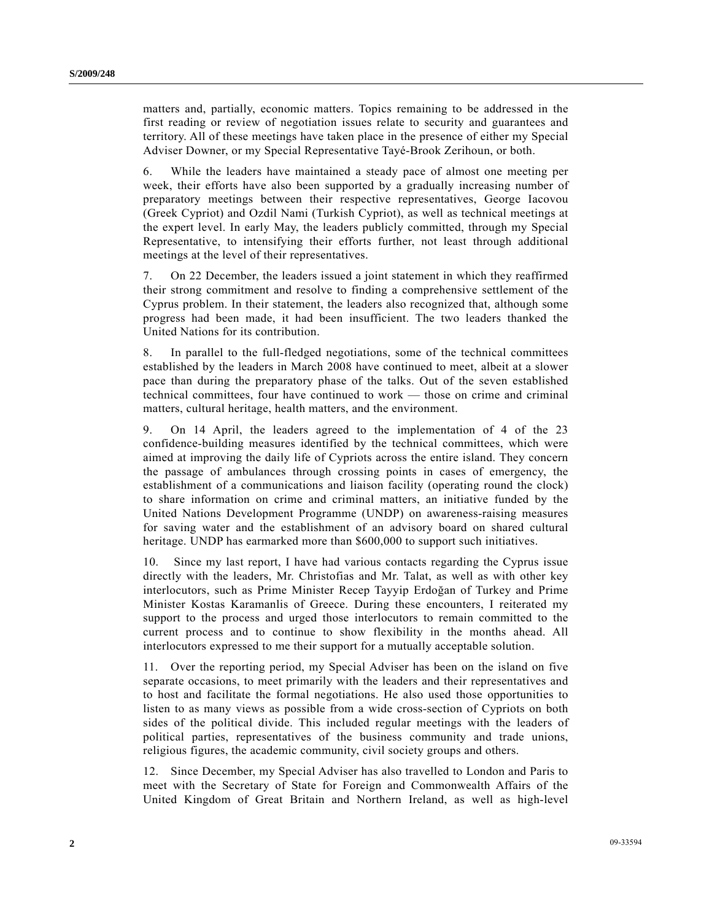matters and, partially, economic matters. Topics remaining to be addressed in the first reading or review of negotiation issues relate to security and guarantees and territory. All of these meetings have taken place in the presence of either my Special Adviser Downer, or my Special Representative Tayé-Brook Zerihoun, or both.

6. While the leaders have maintained a steady pace of almost one meeting per week, their efforts have also been supported by a gradually increasing number of preparatory meetings between their respective representatives, George Iacovou (Greek Cypriot) and Ozdil Nami (Turkish Cypriot), as well as technical meetings at the expert level. In early May, the leaders publicly committed, through my Special Representative, to intensifying their efforts further, not least through additional meetings at the level of their representatives.

7. On 22 December, the leaders issued a joint statement in which they reaffirmed their strong commitment and resolve to finding a comprehensive settlement of the Cyprus problem. In their statement, the leaders also recognized that, although some progress had been made, it had been insufficient. The two leaders thanked the United Nations for its contribution.

8. In parallel to the full-fledged negotiations, some of the technical committees established by the leaders in March 2008 have continued to meet, albeit at a slower pace than during the preparatory phase of the talks. Out of the seven established technical committees, four have continued to work — those on crime and criminal matters, cultural heritage, health matters, and the environment.

9. On 14 April, the leaders agreed to the implementation of 4 of the 23 confidence-building measures identified by the technical committees, which were aimed at improving the daily life of Cypriots across the entire island. They concern the passage of ambulances through crossing points in cases of emergency, the establishment of a communications and liaison facility (operating round the clock) to share information on crime and criminal matters, an initiative funded by the United Nations Development Programme (UNDP) on awareness-raising measures for saving water and the establishment of an advisory board on shared cultural heritage. UNDP has earmarked more than \$600,000 to support such initiatives.

10. Since my last report, I have had various contacts regarding the Cyprus issue directly with the leaders, Mr. Christofias and Mr. Talat, as well as with other key interlocutors, such as Prime Minister Recep Tayyip Erdoğan of Turkey and Prime Minister Kostas Karamanlis of Greece. During these encounters, I reiterated my support to the process and urged those interlocutors to remain committed to the current process and to continue to show flexibility in the months ahead. All interlocutors expressed to me their support for a mutually acceptable solution.

11. Over the reporting period, my Special Adviser has been on the island on five separate occasions, to meet primarily with the leaders and their representatives and to host and facilitate the formal negotiations. He also used those opportunities to listen to as many views as possible from a wide cross-section of Cypriots on both sides of the political divide. This included regular meetings with the leaders of political parties, representatives of the business community and trade unions, religious figures, the academic community, civil society groups and others.

12. Since December, my Special Adviser has also travelled to London and Paris to meet with the Secretary of State for Foreign and Commonwealth Affairs of the United Kingdom of Great Britain and Northern Ireland, as well as high-level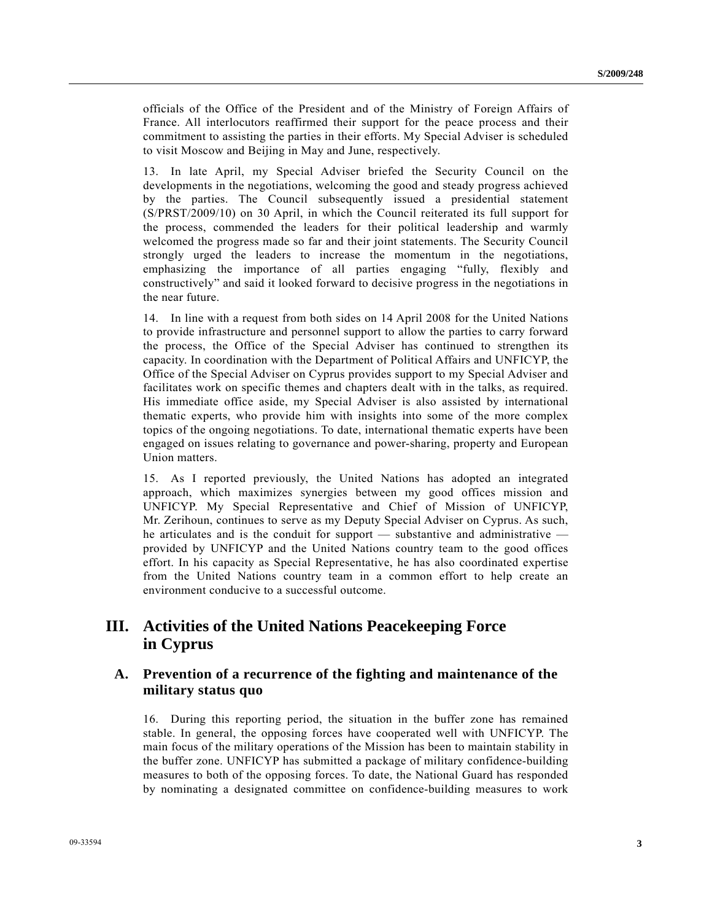officials of the Office of the President and of the Ministry of Foreign Affairs of France. All interlocutors reaffirmed their support for the peace process and their commitment to assisting the parties in their efforts. My Special Adviser is scheduled to visit Moscow and Beijing in May and June, respectively.

13. In late April, my Special Adviser briefed the Security Council on the developments in the negotiations, welcoming the good and steady progress achieved by the parties. The Council subsequently issued a presidential statement (S/PRST/2009/10) on 30 April, in which the Council reiterated its full support for the process, commended the leaders for their political leadership and warmly welcomed the progress made so far and their joint statements. The Security Council strongly urged the leaders to increase the momentum in the negotiations, emphasizing the importance of all parties engaging "fully, flexibly and constructively" and said it looked forward to decisive progress in the negotiations in the near future.

14. In line with a request from both sides on 14 April 2008 for the United Nations to provide infrastructure and personnel support to allow the parties to carry forward the process, the Office of the Special Adviser has continued to strengthen its capacity. In coordination with the Department of Political Affairs and UNFICYP, the Office of the Special Adviser on Cyprus provides support to my Special Adviser and facilitates work on specific themes and chapters dealt with in the talks, as required. His immediate office aside, my Special Adviser is also assisted by international thematic experts, who provide him with insights into some of the more complex topics of the ongoing negotiations. To date, international thematic experts have been engaged on issues relating to governance and power-sharing, property and European Union matters.

15. As I reported previously, the United Nations has adopted an integrated approach, which maximizes synergies between my good offices mission and UNFICYP. My Special Representative and Chief of Mission of UNFICYP, Mr. Zerihoun, continues to serve as my Deputy Special Adviser on Cyprus. As such, he articulates and is the conduit for support — substantive and administrative provided by UNFICYP and the United Nations country team to the good offices effort. In his capacity as Special Representative, he has also coordinated expertise from the United Nations country team in a common effort to help create an environment conducive to a successful outcome.

## **III. Activities of the United Nations Peacekeeping Force in Cyprus**

#### **A. Prevention of a recurrence of the fighting and maintenance of the military status quo**

16. During this reporting period, the situation in the buffer zone has remained stable. In general, the opposing forces have cooperated well with UNFICYP. The main focus of the military operations of the Mission has been to maintain stability in the buffer zone. UNFICYP has submitted a package of military confidence-building measures to both of the opposing forces. To date, the National Guard has responded by nominating a designated committee on confidence-building measures to work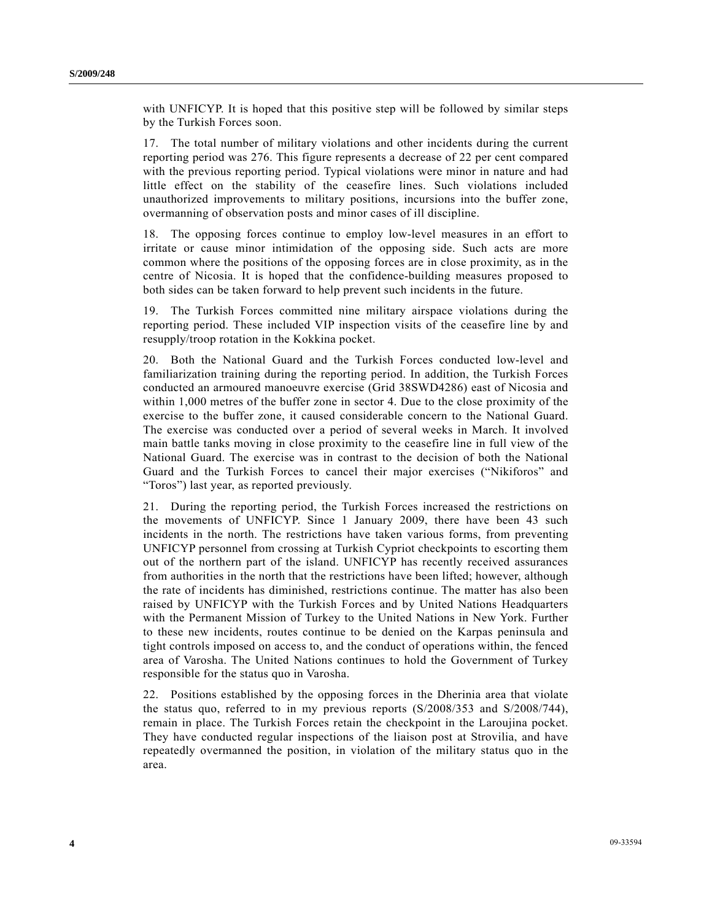with UNFICYP. It is hoped that this positive step will be followed by similar steps by the Turkish Forces soon.

17. The total number of military violations and other incidents during the current reporting period was 276. This figure represents a decrease of 22 per cent compared with the previous reporting period. Typical violations were minor in nature and had little effect on the stability of the ceasefire lines. Such violations included unauthorized improvements to military positions, incursions into the buffer zone, overmanning of observation posts and minor cases of ill discipline.

18. The opposing forces continue to employ low-level measures in an effort to irritate or cause minor intimidation of the opposing side. Such acts are more common where the positions of the opposing forces are in close proximity, as in the centre of Nicosia. It is hoped that the confidence-building measures proposed to both sides can be taken forward to help prevent such incidents in the future.

19. The Turkish Forces committed nine military airspace violations during the reporting period. These included VIP inspection visits of the ceasefire line by and resupply/troop rotation in the Kokkina pocket.

20. Both the National Guard and the Turkish Forces conducted low-level and familiarization training during the reporting period. In addition, the Turkish Forces conducted an armoured manoeuvre exercise (Grid 38SWD4286) east of Nicosia and within 1,000 metres of the buffer zone in sector 4. Due to the close proximity of the exercise to the buffer zone, it caused considerable concern to the National Guard. The exercise was conducted over a period of several weeks in March. It involved main battle tanks moving in close proximity to the ceasefire line in full view of the National Guard. The exercise was in contrast to the decision of both the National Guard and the Turkish Forces to cancel their major exercises ("Nikiforos" and "Toros") last year, as reported previously.

21. During the reporting period, the Turkish Forces increased the restrictions on the movements of UNFICYP. Since 1 January 2009, there have been 43 such incidents in the north. The restrictions have taken various forms, from preventing UNFICYP personnel from crossing at Turkish Cypriot checkpoints to escorting them out of the northern part of the island. UNFICYP has recently received assurances from authorities in the north that the restrictions have been lifted; however, although the rate of incidents has diminished, restrictions continue. The matter has also been raised by UNFICYP with the Turkish Forces and by United Nations Headquarters with the Permanent Mission of Turkey to the United Nations in New York. Further to these new incidents, routes continue to be denied on the Karpas peninsula and tight controls imposed on access to, and the conduct of operations within, the fenced area of Varosha. The United Nations continues to hold the Government of Turkey responsible for the status quo in Varosha.

22. Positions established by the opposing forces in the Dherinia area that violate the status quo, referred to in my previous reports (S/2008/353 and S/2008/744), remain in place. The Turkish Forces retain the checkpoint in the Laroujina pocket. They have conducted regular inspections of the liaison post at Strovilia, and have repeatedly overmanned the position, in violation of the military status quo in the area.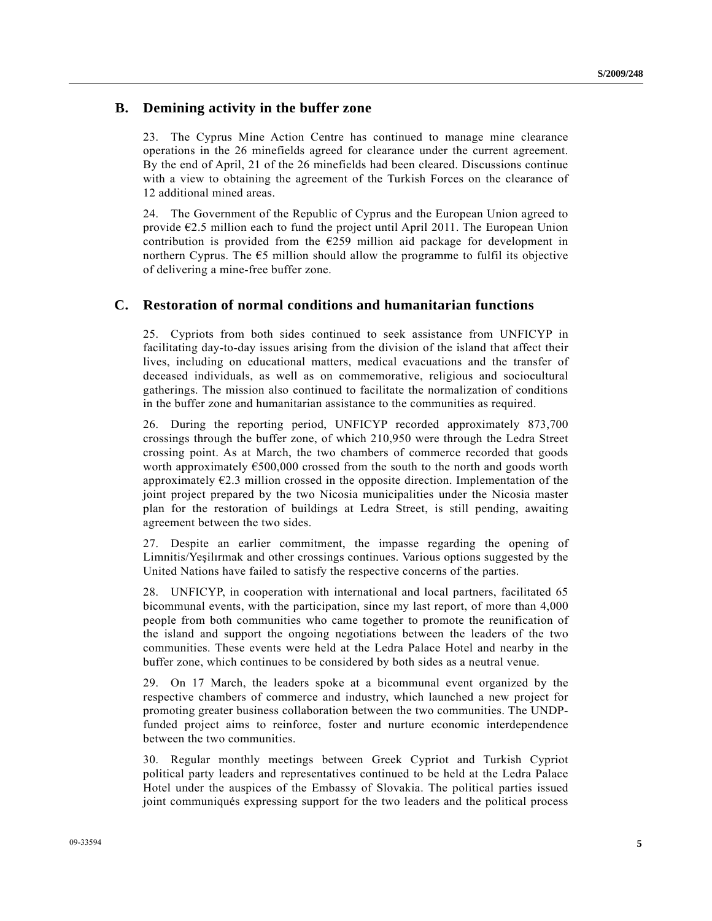#### **B. Demining activity in the buffer zone**

23. The Cyprus Mine Action Centre has continued to manage mine clearance operations in the 26 minefields agreed for clearance under the current agreement. By the end of April, 21 of the 26 minefields had been cleared. Discussions continue with a view to obtaining the agreement of the Turkish Forces on the clearance of 12 additional mined areas.

24. The Government of the Republic of Cyprus and the European Union agreed to provide  $\epsilon$ 2.5 million each to fund the project until April 2011. The European Union contribution is provided from the  $E259$  million aid package for development in northern Cyprus. The  $\epsilon$ 5 million should allow the programme to fulfil its objective of delivering a mine-free buffer zone.

#### **C. Restoration of normal conditions and humanitarian functions**

25. Cypriots from both sides continued to seek assistance from UNFICYP in facilitating day-to-day issues arising from the division of the island that affect their lives, including on educational matters, medical evacuations and the transfer of deceased individuals, as well as on commemorative, religious and sociocultural gatherings. The mission also continued to facilitate the normalization of conditions in the buffer zone and humanitarian assistance to the communities as required.

26. During the reporting period, UNFICYP recorded approximately 873,700 crossings through the buffer zone, of which 210,950 were through the Ledra Street crossing point. As at March, the two chambers of commerce recorded that goods worth approximately  $\epsilon$ 500,000 crossed from the south to the north and goods worth approximately  $E$ . 3 million crossed in the opposite direction. Implementation of the joint project prepared by the two Nicosia municipalities under the Nicosia master plan for the restoration of buildings at Ledra Street, is still pending, awaiting agreement between the two sides.

27. Despite an earlier commitment, the impasse regarding the opening of Limnitis/Yeşilırmak and other crossings continues. Various options suggested by the United Nations have failed to satisfy the respective concerns of the parties.

28. UNFICYP, in cooperation with international and local partners, facilitated 65 bicommunal events, with the participation, since my last report, of more than 4,000 people from both communities who came together to promote the reunification of the island and support the ongoing negotiations between the leaders of the two communities. These events were held at the Ledra Palace Hotel and nearby in the buffer zone, which continues to be considered by both sides as a neutral venue.

29. On 17 March, the leaders spoke at a bicommunal event organized by the respective chambers of commerce and industry, which launched a new project for promoting greater business collaboration between the two communities. The UNDPfunded project aims to reinforce, foster and nurture economic interdependence between the two communities.

30. Regular monthly meetings between Greek Cypriot and Turkish Cypriot political party leaders and representatives continued to be held at the Ledra Palace Hotel under the auspices of the Embassy of Slovakia. The political parties issued joint communiqués expressing support for the two leaders and the political process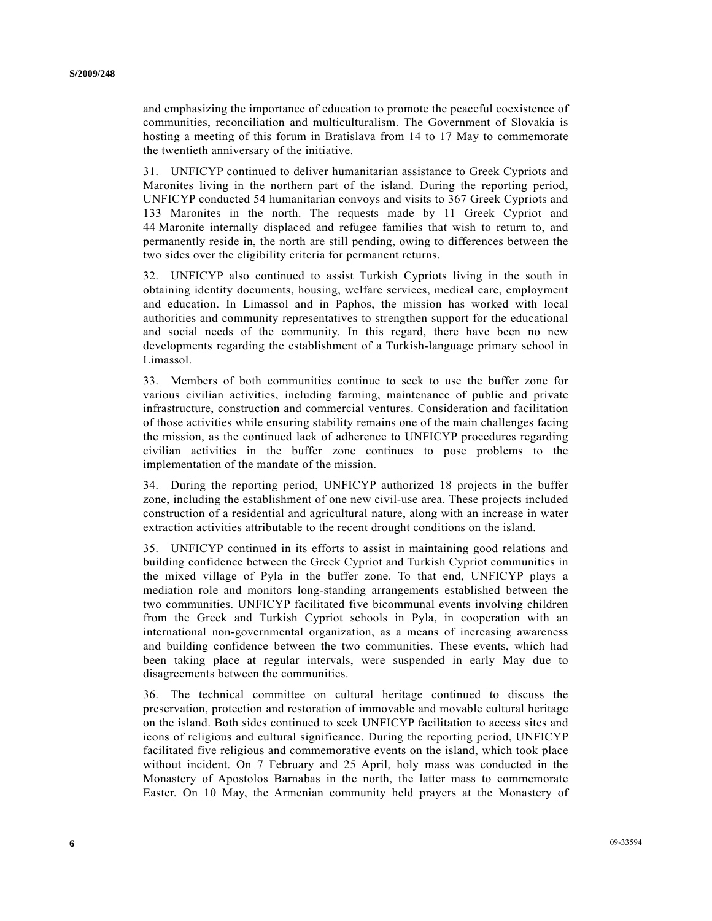and emphasizing the importance of education to promote the peaceful coexistence of communities, reconciliation and multiculturalism. The Government of Slovakia is hosting a meeting of this forum in Bratislava from 14 to 17 May to commemorate the twentieth anniversary of the initiative.

31. UNFICYP continued to deliver humanitarian assistance to Greek Cypriots and Maronites living in the northern part of the island. During the reporting period, UNFICYP conducted 54 humanitarian convoys and visits to 367 Greek Cypriots and 133 Maronites in the north. The requests made by 11 Greek Cypriot and 44 Maronite internally displaced and refugee families that wish to return to, and permanently reside in, the north are still pending, owing to differences between the two sides over the eligibility criteria for permanent returns.

32. UNFICYP also continued to assist Turkish Cypriots living in the south in obtaining identity documents, housing, welfare services, medical care, employment and education. In Limassol and in Paphos, the mission has worked with local authorities and community representatives to strengthen support for the educational and social needs of the community. In this regard, there have been no new developments regarding the establishment of a Turkish-language primary school in Limassol.

33. Members of both communities continue to seek to use the buffer zone for various civilian activities, including farming, maintenance of public and private infrastructure, construction and commercial ventures. Consideration and facilitation of those activities while ensuring stability remains one of the main challenges facing the mission, as the continued lack of adherence to UNFICYP procedures regarding civilian activities in the buffer zone continues to pose problems to the implementation of the mandate of the mission.

34. During the reporting period, UNFICYP authorized 18 projects in the buffer zone, including the establishment of one new civil-use area. These projects included construction of a residential and agricultural nature, along with an increase in water extraction activities attributable to the recent drought conditions on the island.

35. UNFICYP continued in its efforts to assist in maintaining good relations and building confidence between the Greek Cypriot and Turkish Cypriot communities in the mixed village of Pyla in the buffer zone. To that end, UNFICYP plays a mediation role and monitors long-standing arrangements established between the two communities. UNFICYP facilitated five bicommunal events involving children from the Greek and Turkish Cypriot schools in Pyla, in cooperation with an international non-governmental organization, as a means of increasing awareness and building confidence between the two communities. These events, which had been taking place at regular intervals, were suspended in early May due to disagreements between the communities.

36. The technical committee on cultural heritage continued to discuss the preservation, protection and restoration of immovable and movable cultural heritage on the island. Both sides continued to seek UNFICYP facilitation to access sites and icons of religious and cultural significance. During the reporting period, UNFICYP facilitated five religious and commemorative events on the island, which took place without incident. On 7 February and 25 April, holy mass was conducted in the Monastery of Apostolos Barnabas in the north, the latter mass to commemorate Easter. On 10 May, the Armenian community held prayers at the Monastery of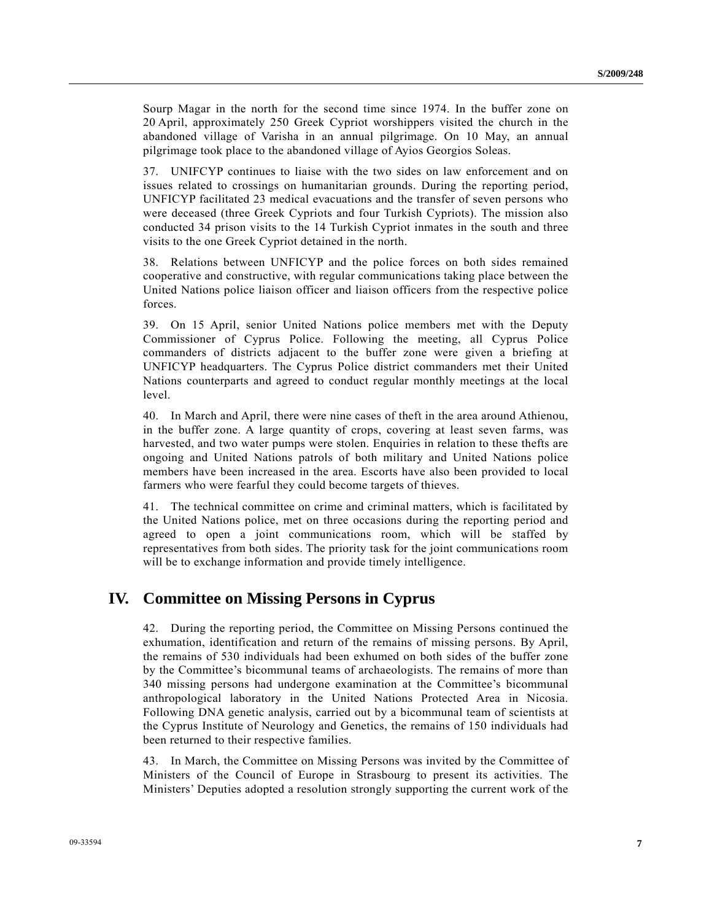Sourp Magar in the north for the second time since 1974. In the buffer zone on 20 April, approximately 250 Greek Cypriot worshippers visited the church in the abandoned village of Varisha in an annual pilgrimage. On 10 May, an annual pilgrimage took place to the abandoned village of Ayios Georgios Soleas.

37. UNIFCYP continues to liaise with the two sides on law enforcement and on issues related to crossings on humanitarian grounds. During the reporting period, UNFICYP facilitated 23 medical evacuations and the transfer of seven persons who were deceased (three Greek Cypriots and four Turkish Cypriots). The mission also conducted 34 prison visits to the 14 Turkish Cypriot inmates in the south and three visits to the one Greek Cypriot detained in the north.

38. Relations between UNFICYP and the police forces on both sides remained cooperative and constructive, with regular communications taking place between the United Nations police liaison officer and liaison officers from the respective police forces.

39. On 15 April, senior United Nations police members met with the Deputy Commissioner of Cyprus Police. Following the meeting, all Cyprus Police commanders of districts adjacent to the buffer zone were given a briefing at UNFICYP headquarters. The Cyprus Police district commanders met their United Nations counterparts and agreed to conduct regular monthly meetings at the local level.

40. In March and April, there were nine cases of theft in the area around Athienou, in the buffer zone. A large quantity of crops, covering at least seven farms, was harvested, and two water pumps were stolen. Enquiries in relation to these thefts are ongoing and United Nations patrols of both military and United Nations police members have been increased in the area. Escorts have also been provided to local farmers who were fearful they could become targets of thieves.

41. The technical committee on crime and criminal matters, which is facilitated by the United Nations police, met on three occasions during the reporting period and agreed to open a joint communications room, which will be staffed by representatives from both sides. The priority task for the joint communications room will be to exchange information and provide timely intelligence.

### **IV. Committee on Missing Persons in Cyprus**

42. During the reporting period, the Committee on Missing Persons continued the exhumation, identification and return of the remains of missing persons. By April, the remains of 530 individuals had been exhumed on both sides of the buffer zone by the Committee's bicommunal teams of archaeologists. The remains of more than 340 missing persons had undergone examination at the Committee's bicommunal anthropological laboratory in the United Nations Protected Area in Nicosia. Following DNA genetic analysis, carried out by a bicommunal team of scientists at the Cyprus Institute of Neurology and Genetics, the remains of 150 individuals had been returned to their respective families.

43. In March, the Committee on Missing Persons was invited by the Committee of Ministers of the Council of Europe in Strasbourg to present its activities. The Ministers' Deputies adopted a resolution strongly supporting the current work of the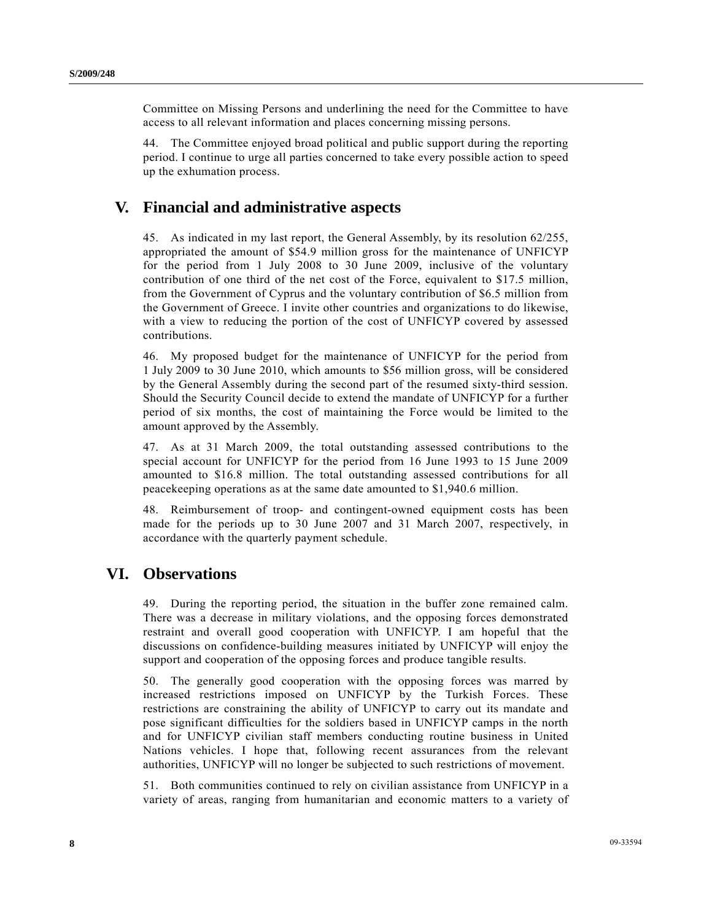Committee on Missing Persons and underlining the need for the Committee to have access to all relevant information and places concerning missing persons.

44. The Committee enjoyed broad political and public support during the reporting period. I continue to urge all parties concerned to take every possible action to speed up the exhumation process.

### **V. Financial and administrative aspects**

45. As indicated in my last report, the General Assembly, by its resolution 62/255, appropriated the amount of \$54.9 million gross for the maintenance of UNFICYP for the period from 1 July 2008 to 30 June 2009, inclusive of the voluntary contribution of one third of the net cost of the Force, equivalent to \$17.5 million, from the Government of Cyprus and the voluntary contribution of \$6.5 million from the Government of Greece. I invite other countries and organizations to do likewise, with a view to reducing the portion of the cost of UNFICYP covered by assessed contributions.

46. My proposed budget for the maintenance of UNFICYP for the period from 1 July 2009 to 30 June 2010, which amounts to \$56 million gross, will be considered by the General Assembly during the second part of the resumed sixty-third session. Should the Security Council decide to extend the mandate of UNFICYP for a further period of six months, the cost of maintaining the Force would be limited to the amount approved by the Assembly.

47. As at 31 March 2009, the total outstanding assessed contributions to the special account for UNFICYP for the period from 16 June 1993 to 15 June 2009 amounted to \$16.8 million. The total outstanding assessed contributions for all peacekeeping operations as at the same date amounted to \$1,940.6 million.

48. Reimbursement of troop- and contingent-owned equipment costs has been made for the periods up to 30 June 2007 and 31 March 2007, respectively, in accordance with the quarterly payment schedule.

## **VI. Observations**

49. During the reporting period, the situation in the buffer zone remained calm. There was a decrease in military violations, and the opposing forces demonstrated restraint and overall good cooperation with UNFICYP. I am hopeful that the discussions on confidence-building measures initiated by UNFICYP will enjoy the support and cooperation of the opposing forces and produce tangible results.

50. The generally good cooperation with the opposing forces was marred by increased restrictions imposed on UNFICYP by the Turkish Forces. These restrictions are constraining the ability of UNFICYP to carry out its mandate and pose significant difficulties for the soldiers based in UNFICYP camps in the north and for UNFICYP civilian staff members conducting routine business in United Nations vehicles. I hope that, following recent assurances from the relevant authorities, UNFICYP will no longer be subjected to such restrictions of movement.

51. Both communities continued to rely on civilian assistance from UNFICYP in a variety of areas, ranging from humanitarian and economic matters to a variety of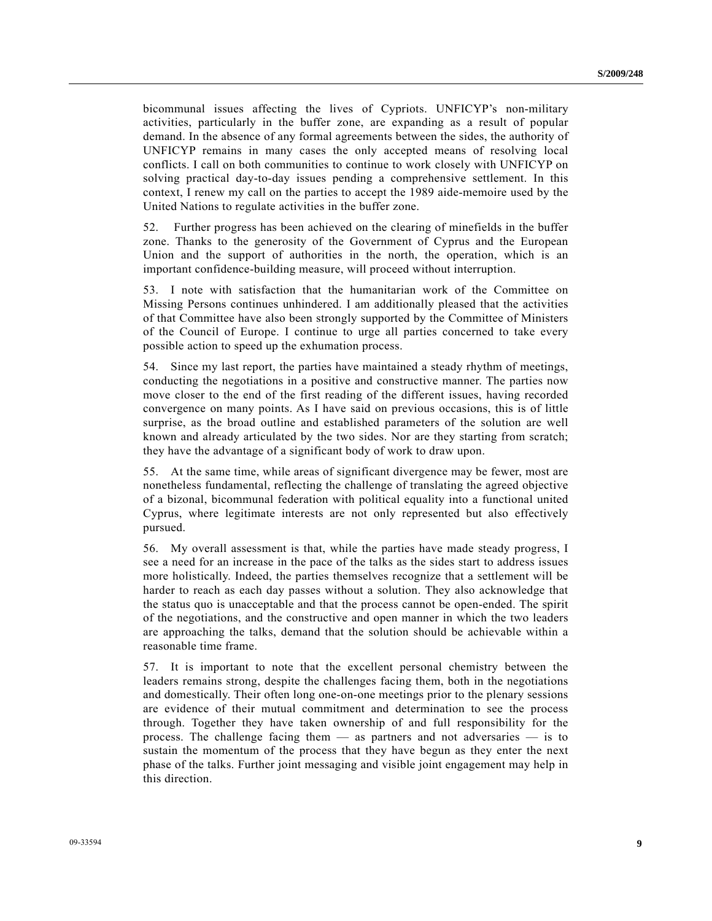bicommunal issues affecting the lives of Cypriots. UNFICYP's non-military activities, particularly in the buffer zone, are expanding as a result of popular demand. In the absence of any formal agreements between the sides, the authority of UNFICYP remains in many cases the only accepted means of resolving local conflicts. I call on both communities to continue to work closely with UNFICYP on solving practical day-to-day issues pending a comprehensive settlement. In this context, I renew my call on the parties to accept the 1989 aide-memoire used by the United Nations to regulate activities in the buffer zone.

52. Further progress has been achieved on the clearing of minefields in the buffer zone. Thanks to the generosity of the Government of Cyprus and the European Union and the support of authorities in the north, the operation, which is an important confidence-building measure, will proceed without interruption.

53. I note with satisfaction that the humanitarian work of the Committee on Missing Persons continues unhindered. I am additionally pleased that the activities of that Committee have also been strongly supported by the Committee of Ministers of the Council of Europe. I continue to urge all parties concerned to take every possible action to speed up the exhumation process.

54. Since my last report, the parties have maintained a steady rhythm of meetings, conducting the negotiations in a positive and constructive manner. The parties now move closer to the end of the first reading of the different issues, having recorded convergence on many points. As I have said on previous occasions, this is of little surprise, as the broad outline and established parameters of the solution are well known and already articulated by the two sides. Nor are they starting from scratch; they have the advantage of a significant body of work to draw upon.

55. At the same time, while areas of significant divergence may be fewer, most are nonetheless fundamental, reflecting the challenge of translating the agreed objective of a bizonal, bicommunal federation with political equality into a functional united Cyprus, where legitimate interests are not only represented but also effectively pursued.

56. My overall assessment is that, while the parties have made steady progress, I see a need for an increase in the pace of the talks as the sides start to address issues more holistically. Indeed, the parties themselves recognize that a settlement will be harder to reach as each day passes without a solution. They also acknowledge that the status quo is unacceptable and that the process cannot be open-ended. The spirit of the negotiations, and the constructive and open manner in which the two leaders are approaching the talks, demand that the solution should be achievable within a reasonable time frame.

57. It is important to note that the excellent personal chemistry between the leaders remains strong, despite the challenges facing them, both in the negotiations and domestically. Their often long one-on-one meetings prior to the plenary sessions are evidence of their mutual commitment and determination to see the process through. Together they have taken ownership of and full responsibility for the process. The challenge facing them — as partners and not adversaries — is to sustain the momentum of the process that they have begun as they enter the next phase of the talks. Further joint messaging and visible joint engagement may help in this direction.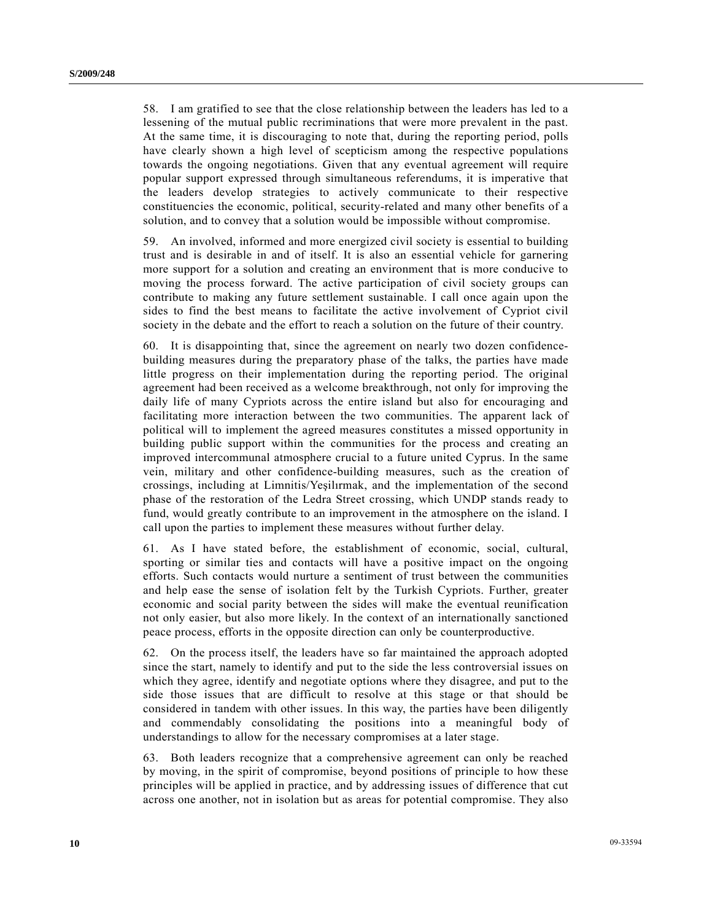58. I am gratified to see that the close relationship between the leaders has led to a lessening of the mutual public recriminations that were more prevalent in the past. At the same time, it is discouraging to note that, during the reporting period, polls have clearly shown a high level of scepticism among the respective populations towards the ongoing negotiations. Given that any eventual agreement will require popular support expressed through simultaneous referendums, it is imperative that the leaders develop strategies to actively communicate to their respective constituencies the economic, political, security-related and many other benefits of a solution, and to convey that a solution would be impossible without compromise.

59. An involved, informed and more energized civil society is essential to building trust and is desirable in and of itself. It is also an essential vehicle for garnering more support for a solution and creating an environment that is more conducive to moving the process forward. The active participation of civil society groups can contribute to making any future settlement sustainable. I call once again upon the sides to find the best means to facilitate the active involvement of Cypriot civil society in the debate and the effort to reach a solution on the future of their country.

60. It is disappointing that, since the agreement on nearly two dozen confidencebuilding measures during the preparatory phase of the talks, the parties have made little progress on their implementation during the reporting period. The original agreement had been received as a welcome breakthrough, not only for improving the daily life of many Cypriots across the entire island but also for encouraging and facilitating more interaction between the two communities. The apparent lack of political will to implement the agreed measures constitutes a missed opportunity in building public support within the communities for the process and creating an improved intercommunal atmosphere crucial to a future united Cyprus. In the same vein, military and other confidence-building measures, such as the creation of crossings, including at Limnitis/Yeşilırmak, and the implementation of the second phase of the restoration of the Ledra Street crossing, which UNDP stands ready to fund, would greatly contribute to an improvement in the atmosphere on the island. I call upon the parties to implement these measures without further delay.

61. As I have stated before, the establishment of economic, social, cultural, sporting or similar ties and contacts will have a positive impact on the ongoing efforts. Such contacts would nurture a sentiment of trust between the communities and help ease the sense of isolation felt by the Turkish Cypriots. Further, greater economic and social parity between the sides will make the eventual reunification not only easier, but also more likely. In the context of an internationally sanctioned peace process, efforts in the opposite direction can only be counterproductive.

62. On the process itself, the leaders have so far maintained the approach adopted since the start, namely to identify and put to the side the less controversial issues on which they agree, identify and negotiate options where they disagree, and put to the side those issues that are difficult to resolve at this stage or that should be considered in tandem with other issues. In this way, the parties have been diligently and commendably consolidating the positions into a meaningful body of understandings to allow for the necessary compromises at a later stage.

63. Both leaders recognize that a comprehensive agreement can only be reached by moving, in the spirit of compromise, beyond positions of principle to how these principles will be applied in practice, and by addressing issues of difference that cut across one another, not in isolation but as areas for potential compromise. They also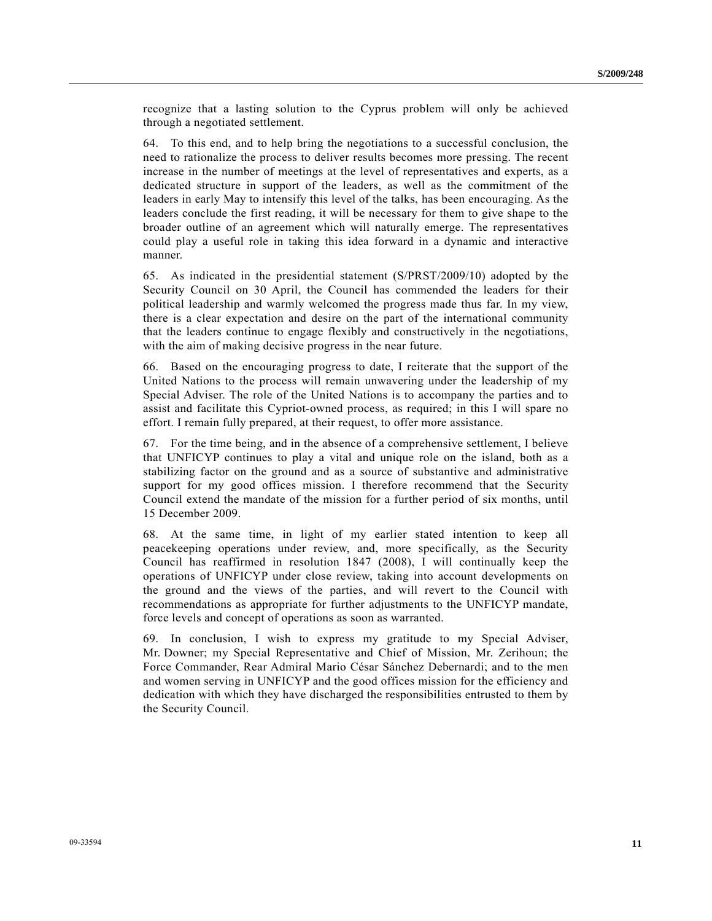recognize that a lasting solution to the Cyprus problem will only be achieved through a negotiated settlement.

64. To this end, and to help bring the negotiations to a successful conclusion, the need to rationalize the process to deliver results becomes more pressing. The recent increase in the number of meetings at the level of representatives and experts, as a dedicated structure in support of the leaders, as well as the commitment of the leaders in early May to intensify this level of the talks, has been encouraging. As the leaders conclude the first reading, it will be necessary for them to give shape to the broader outline of an agreement which will naturally emerge. The representatives could play a useful role in taking this idea forward in a dynamic and interactive manner.

65. As indicated in the presidential statement (S/PRST/2009/10) adopted by the Security Council on 30 April, the Council has commended the leaders for their political leadership and warmly welcomed the progress made thus far. In my view, there is a clear expectation and desire on the part of the international community that the leaders continue to engage flexibly and constructively in the negotiations, with the aim of making decisive progress in the near future.

66. Based on the encouraging progress to date, I reiterate that the support of the United Nations to the process will remain unwavering under the leadership of my Special Adviser. The role of the United Nations is to accompany the parties and to assist and facilitate this Cypriot-owned process, as required; in this I will spare no effort. I remain fully prepared, at their request, to offer more assistance.

67. For the time being, and in the absence of a comprehensive settlement, I believe that UNFICYP continues to play a vital and unique role on the island, both as a stabilizing factor on the ground and as a source of substantive and administrative support for my good offices mission. I therefore recommend that the Security Council extend the mandate of the mission for a further period of six months, until 15 December 2009.

68. At the same time, in light of my earlier stated intention to keep all peacekeeping operations under review, and, more specifically, as the Security Council has reaffirmed in resolution 1847 (2008), I will continually keep the operations of UNFICYP under close review, taking into account developments on the ground and the views of the parties, and will revert to the Council with recommendations as appropriate for further adjustments to the UNFICYP mandate, force levels and concept of operations as soon as warranted.

69. In conclusion, I wish to express my gratitude to my Special Adviser, Mr. Downer; my Special Representative and Chief of Mission, Mr. Zerihoun; the Force Commander, Rear Admiral Mario César Sánchez Debernardi; and to the men and women serving in UNFICYP and the good offices mission for the efficiency and dedication with which they have discharged the responsibilities entrusted to them by the Security Council.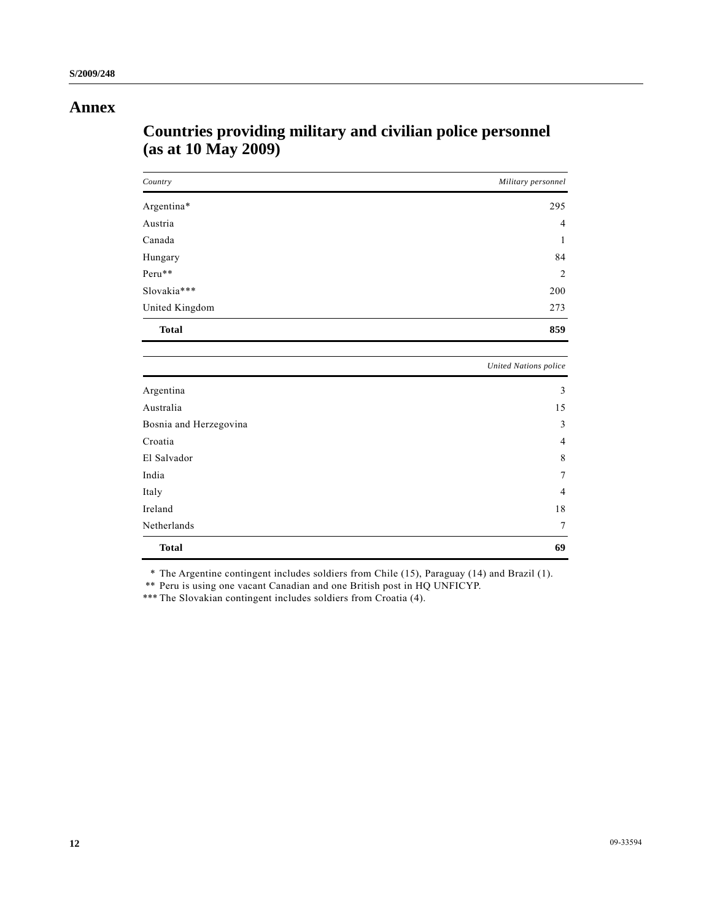## **Annex**

# **Countries providing military and civilian police personnel (as at 10 May 2009)**

| Country                | Military personnel           |
|------------------------|------------------------------|
| Argentina*             | 295                          |
| Austria                | $\overline{4}$               |
| Canada                 | 1                            |
| Hungary                | 84                           |
| Peru**                 | $\overline{c}$               |
| Slovakia***            | 200                          |
| United Kingdom         | 273                          |
| <b>Total</b>           | 859                          |
|                        | <b>United Nations police</b> |
| Argentina              | 3                            |
| Australia              | 15                           |
| Bosnia and Herzegovina | 3                            |
| Croatia                | 4                            |
| El Salvador            | 8                            |
| India                  | 7                            |
| Italy                  | $\overline{4}$               |
| Ireland                | 18                           |
| Netherlands            | $\overline{7}$               |

\* The Argentine contingent includes soldiers from Chile (15), Paraguay (14) and Brazil (1).

 **Total 69** 

\*\* Peru is using one vacant Canadian and one British post in HQ UNFICYP.

\*\*\* The Slovakian contingent includes soldiers from Croatia (4).